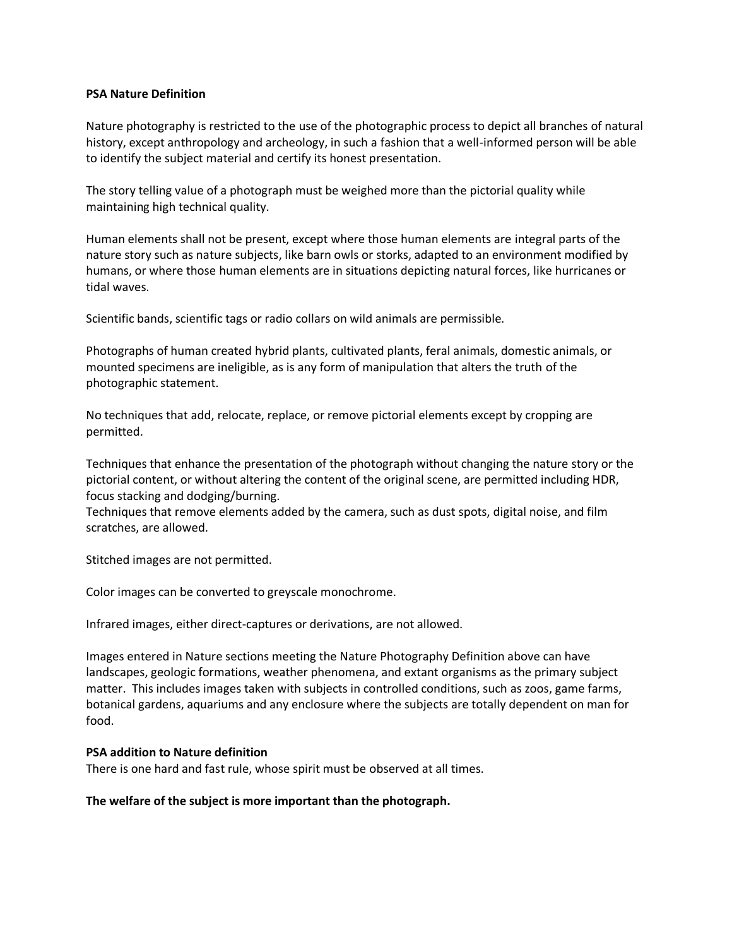## **PSA Nature Definition**

Nature photography is restricted to the use of the photographic process to depict all branches of natural history, except anthropology and archeology, in such a fashion that a well-informed person will be able to identify the subject material and certify its honest presentation.

The story telling value of a photograph must be weighed more than the pictorial quality while maintaining high technical quality.

Human elements shall not be present, except where those human elements are integral parts of the nature story such as nature subjects, like barn owls or storks, adapted to an environment modified by humans, or where those human elements are in situations depicting natural forces, like hurricanes or tidal waves.

Scientific bands, scientific tags or radio collars on wild animals are permissible.

Photographs of human created hybrid plants, cultivated plants, feral animals, domestic animals, or mounted specimens are ineligible, as is any form of manipulation that alters the truth of the photographic statement.

No techniques that add, relocate, replace, or remove pictorial elements except by cropping are permitted.

Techniques that enhance the presentation of the photograph without changing the nature story or the pictorial content, or without altering the content of the original scene, are permitted including HDR, focus stacking and dodging/burning.

Techniques that remove elements added by the camera, such as dust spots, digital noise, and film scratches, are allowed.

Stitched images are not permitted.

Color images can be converted to greyscale monochrome.

Infrared images, either direct-captures or derivations, are not allowed.

Images entered in Nature sections meeting the Nature Photography Definition above can have landscapes, geologic formations, weather phenomena, and extant organisms as the primary subject matter. This includes images taken with subjects in controlled conditions, such as zoos, game farms, botanical gardens, aquariums and any enclosure where the subjects are totally dependent on man for food.

## **PSA addition to Nature definition**

There is one hard and fast rule, whose spirit must be observed at all times.

**The welfare of the subject is more important than the photograph.**